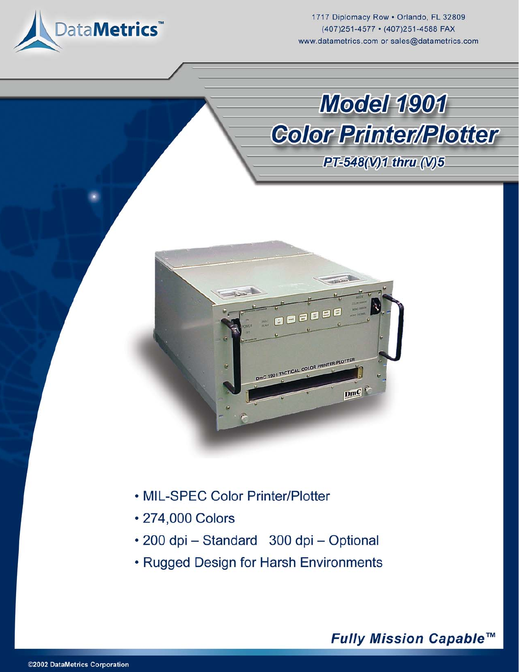

1717 Diplomacy Row . Orlando, FL 32809 (407)251-4577 · (407)251-4588 FAX www.datametrics.com or sales@datametrics.com





- MIL-SPEC Color Printer/Plotter
- 274,000 Colors
- · 200 dpi Standard 300 dpi Optional
- Rugged Design for Harsh Environments

# Fully Mission Capable™